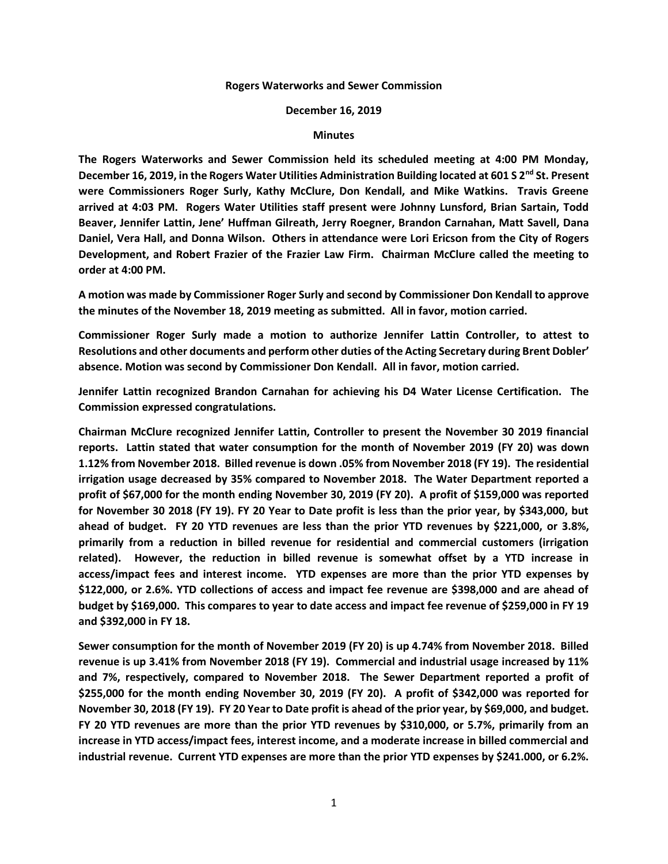## **Rogers Waterworks and Sewer Commission**

## **December 16, 2019**

## **Minutes**

**The Rogers Waterworks and Sewer Commission held its scheduled meeting at 4:00 PM Monday, December 16, 2019, in the Rogers Water Utilities Administration Building located at 601 S 2nd St. Present were Commissioners Roger Surly, Kathy McClure, Don Kendall, and Mike Watkins. Travis Greene arrived at 4:03 PM. Rogers Water Utilities staff present were Johnny Lunsford, Brian Sartain, Todd Beaver, Jennifer Lattin, Jene' Huffman Gilreath, Jerry Roegner, Brandon Carnahan, Matt Savell, Dana Daniel, Vera Hall, and Donna Wilson. Others in attendance were Lori Ericson from the City of Rogers Development, and Robert Frazier of the Frazier Law Firm. Chairman McClure called the meeting to order at 4:00 PM.**

**A motion was made by Commissioner Roger Surly and second by Commissioner Don Kendall to approve the minutes of the November 18, 2019 meeting as submitted. All in favor, motion carried.**

**Commissioner Roger Surly made a motion to authorize Jennifer Lattin Controller, to attest to Resolutions and other documents and perform other duties of the Acting Secretary during Brent Dobler' absence. Motion was second by Commissioner Don Kendall. All in favor, motion carried.**

**Jennifer Lattin recognized Brandon Carnahan for achieving his D4 Water License Certification. The Commission expressed congratulations.**

**Chairman McClure recognized Jennifer Lattin, Controller to present the November 30 2019 financial reports. Lattin stated that water consumption for the month of November 2019 (FY 20) was down 1.12% from November 2018. Billed revenue is down .05% from November 2018 (FY 19). The residential irrigation usage decreased by 35% compared to November 2018. The Water Department reported a profit of \$67,000 for the month ending November 30, 2019 (FY 20). A profit of \$159,000 was reported for November 30 2018 (FY 19). FY 20 Year to Date profit is less than the prior year, by \$343,000, but ahead of budget. FY 20 YTD revenues are less than the prior YTD revenues by \$221,000, or 3.8%, primarily from a reduction in billed revenue for residential and commercial customers (irrigation related). However, the reduction in billed revenue is somewhat offset by a YTD increase in access/impact fees and interest income. YTD expenses are more than the prior YTD expenses by \$122,000, or 2.6%. YTD collections of access and impact fee revenue are \$398,000 and are ahead of budget by \$169,000. This compares to year to date access and impact fee revenue of \$259,000 in FY 19 and \$392,000 in FY 18.**

**Sewer consumption for the month of November 2019 (FY 20) is up 4.74% from November 2018. Billed revenue is up 3.41% from November 2018 (FY 19). Commercial and industrial usage increased by 11% and 7%, respectively, compared to November 2018. The Sewer Department reported a profit of \$255,000 for the month ending November 30, 2019 (FY 20). A profit of \$342,000 was reported for November 30, 2018 (FY 19). FY 20 Year to Date profit is ahead of the prior year, by \$69,000, and budget. FY 20 YTD revenues are more than the prior YTD revenues by \$310,000, or 5.7%, primarily from an increase in YTD access/impact fees, interest income, and a moderate increase in billed commercial and industrial revenue. Current YTD expenses are more than the prior YTD expenses by \$241.000, or 6.2%.**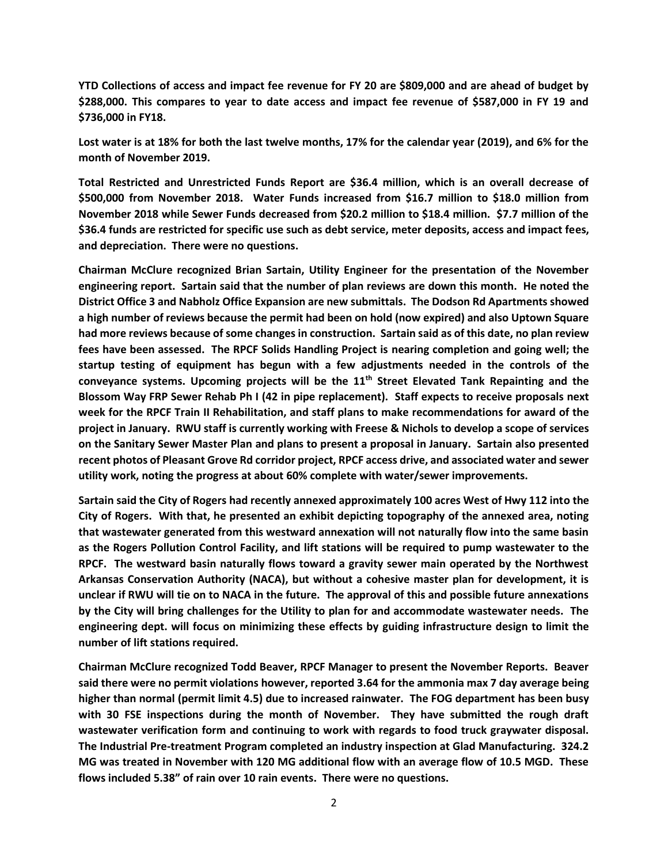**YTD Collections of access and impact fee revenue for FY 20 are \$809,000 and are ahead of budget by \$288,000. This compares to year to date access and impact fee revenue of \$587,000 in FY 19 and \$736,000 in FY18.**

**Lost water is at 18% for both the last twelve months, 17% for the calendar year (2019), and 6% for the month of November 2019.**

**Total Restricted and Unrestricted Funds Report are \$36.4 million, which is an overall decrease of \$500,000 from November 2018. Water Funds increased from \$16.7 million to \$18.0 million from November 2018 while Sewer Funds decreased from \$20.2 million to \$18.4 million. \$7.7 million of the \$36.4 funds are restricted for specific use such as debt service, meter deposits, access and impact fees, and depreciation. There were no questions.**

**Chairman McClure recognized Brian Sartain, Utility Engineer for the presentation of the November engineering report. Sartain said that the number of plan reviews are down this month. He noted the District Office 3 and Nabholz Office Expansion are new submittals. The Dodson Rd Apartments showed a high number of reviews because the permit had been on hold (now expired) and also Uptown Square had more reviews because of some changes in construction. Sartain said as of this date, no plan review fees have been assessed. The RPCF Solids Handling Project is nearing completion and going well; the startup testing of equipment has begun with a few adjustments needed in the controls of the conveyance systems. Upcoming projects will be the 11th Street Elevated Tank Repainting and the Blossom Way FRP Sewer Rehab Ph I (42 in pipe replacement). Staff expects to receive proposals next week for the RPCF Train II Rehabilitation, and staff plans to make recommendations for award of the project in January. RWU staff is currently working with Freese & Nichols to develop a scope of services on the Sanitary Sewer Master Plan and plans to present a proposal in January. Sartain also presented recent photos of Pleasant Grove Rd corridor project, RPCF access drive, and associated water and sewer utility work, noting the progress at about 60% complete with water/sewer improvements.**

**Sartain said the City of Rogers had recently annexed approximately 100 acres West of Hwy 112 into the City of Rogers. With that, he presented an exhibit depicting topography of the annexed area, noting that wastewater generated from this westward annexation will not naturally flow into the same basin as the Rogers Pollution Control Facility, and lift stations will be required to pump wastewater to the RPCF. The westward basin naturally flows toward a gravity sewer main operated by the Northwest Arkansas Conservation Authority (NACA), but without a cohesive master plan for development, it is unclear if RWU will tie on to NACA in the future. The approval of this and possible future annexations by the City will bring challenges for the Utility to plan for and accommodate wastewater needs. The engineering dept. will focus on minimizing these effects by guiding infrastructure design to limit the number of lift stations required.**

**Chairman McClure recognized Todd Beaver, RPCF Manager to present the November Reports. Beaver said there were no permit violations however, reported 3.64 for the ammonia max 7 day average being higher than normal (permit limit 4.5) due to increased rainwater. The FOG department has been busy with 30 FSE inspections during the month of November. They have submitted the rough draft wastewater verification form and continuing to work with regards to food truck graywater disposal. The Industrial Pre-treatment Program completed an industry inspection at Glad Manufacturing. 324.2 MG was treated in November with 120 MG additional flow with an average flow of 10.5 MGD. These flows included 5.38" of rain over 10 rain events. There were no questions.**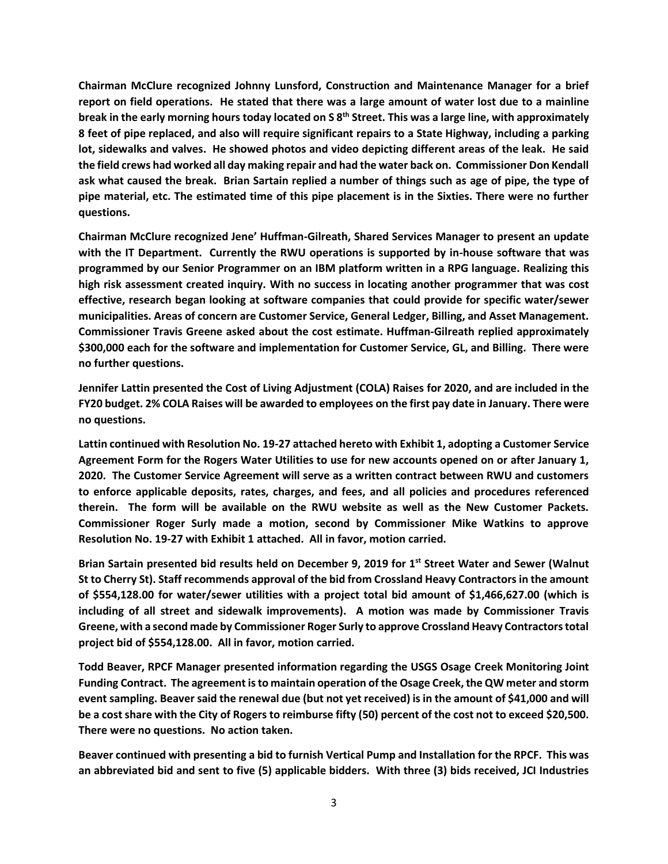**Chairman McClure recognized Johnny Lunsford, Construction and Maintenance Manager for a brief report on field operations. He stated that there was a large amount of water lost due to a mainline break in the early morning hours today located on S 8th Street. This was a large line, with approximately 8 feet of pipe replaced, and also will require significant repairs to a State Highway, including a parking lot, sidewalks and valves. He showed photos and video depicting different areas of the leak. He said the field crews had worked all day making repair and had the water back on. Commissioner Don Kendall ask what caused the break. Brian Sartain replied a number of things such as age of pipe, the type of pipe material, etc. The estimated time of this pipe placement is in the Sixties. There were no further questions.**

**Chairman McClure recognized Jene' Huffman-Gilreath, Shared Services Manager to present an update with the IT Department. Currently the RWU operations is supported by in-house software that was programmed by our Senior Programmer on an IBM platform written in a RPG language. Realizing this high risk assessment created inquiry. With no success in locating another programmer that was cost effective, research began looking at software companies that could provide for specific water/sewer municipalities. Areas of concern are Customer Service, General Ledger, Billing, and Asset Management. Commissioner Travis Greene asked about the cost estimate. Huffman-Gilreath replied approximately \$300,000 each for the software and implementation for Customer Service, GL, and Billing. There were no further questions.**

**Jennifer Lattin presented the Cost of Living Adjustment (COLA) Raises for 2020, and are included in the FY20 budget. 2% COLA Raises will be awarded to employees on the first pay date in January. There were no questions.**

**Lattin continued with Resolution No. 19-27 attached hereto with Exhibit 1, adopting a Customer Service Agreement Form for the Rogers Water Utilities to use for new accounts opened on or after January 1, 2020. The Customer Service Agreement will serve as a written contract between RWU and customers to enforce applicable deposits, rates, charges, and fees, and all policies and procedures referenced therein. The form will be available on the RWU website as well as the New Customer Packets. Commissioner Roger Surly made a motion, second by Commissioner Mike Watkins to approve Resolution No. 19-27 with Exhibit 1 attached. All in favor, motion carried.**

**Brian Sartain presented bid results held on December 9, 2019 for 1st Street Water and Sewer (Walnut St to Cherry St). Staff recommends approval of the bid from Crossland Heavy Contractors in the amount of \$554,128.00 for water/sewer utilities with a project total bid amount of \$1,466,627.00 (which is including of all street and sidewalk improvements). A motion was made by Commissioner Travis Greene, with a second made by Commissioner Roger Surly to approve Crossland Heavy Contractors total project bid of \$554,128.00. All in favor, motion carried.**

**Todd Beaver, RPCF Manager presented information regarding the USGS Osage Creek Monitoring Joint Funding Contract. The agreement is to maintain operation of the Osage Creek, the QW meter and storm event sampling. Beaver said the renewal due (but not yet received) is in the amount of \$41,000 and will be a cost share with the City of Rogers to reimburse fifty (50) percent of the cost not to exceed \$20,500. There were no questions. No action taken.**

**Beaver continued with presenting a bid to furnish Vertical Pump and Installation for the RPCF. This was an abbreviated bid and sent to five (5) applicable bidders. With three (3) bids received, JCI Industries**